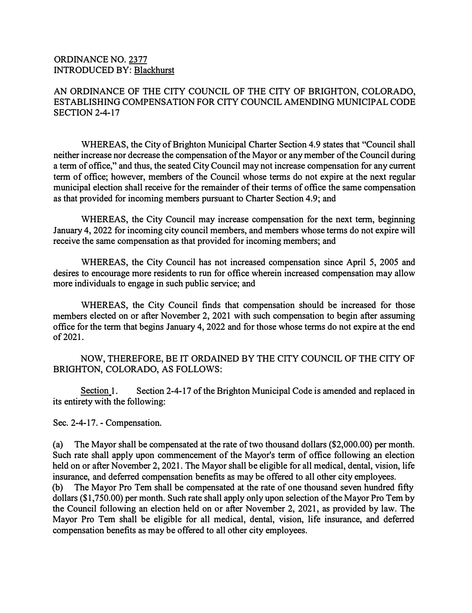## ORDINANCE NO. 2377 INTRODUCED BY: Blackhurst

## AN ORDINANCE OF THE CITY COUNCIL OF THE CITY OF BRIGHTON, COLORADO, ESTABLISHING COMPENSATION FOR CITY COUNCIL AMENDING MUNICIPAL CODE SECTION 2-4-17

WHEREAS, the City of Brighton Municipal Charter Section 4.9 states that "Council shall neither increase nor decrease the compensation of the Mayor or any member of the Council during a term of office," and thus, the seated City Council may not increase compensation for any current term of office; however, members of the Council whose terms do not expire at the next regular municipal election shall receive for the remainder of their terms of office the same compensation as that provided for incoming members pursuant to Charter Section 4.9; and

WHEREAS, the City Council may increase compensation for the next term, beginning January 4, 2022 for incoming city council members, and members whose terms do not expire will receive the same compensation as that provided for incoming members; and

WHEREAS, the City Council has not increased compensation since April 5, 2005 and desires to encourage more residents to run for office wherein increased compensation may allow more individuals to engage in such public service; and

WHEREAS, the City Council finds that compensation should be increased for those members elected on or after November 2, 2021 with such compensation to begin after assuming office for the term that begins January 4, 2022 and for those whose terms do not expire at the end of 2021.

NOW, THEREFORE, BE IT ORDAINED BY THE CITY COUNCIL OF THE CITY OF BRIGHTON, COLORADO, AS FOLLOWS:

Section 1. Section 2-4-17 of the Brighton Municipal Code is amended and replaced in its entirety with the following:

Sec. 2-4-17. - Compensation.

(a) The Mayor shall be compensated at the rate of two thousand dollars (\$2,000.00) per month. Such rate shall apply upon commencement of the Mayor's term of office following an election held on or after November 2, 2021. The Mayor shall be eligible for all medical, dental, vision, life insurance, and deferred compensation benefits as may be offered to all other city employees. (b) The Mayor Pro Tern shall be compensated at the rate of one thousand seven hundred fifty dollars (\$1,750.00) per month. Such rate shall apply only upon selection of the Mayor Pro Tem by

the Council following an election held on or after November 2, 2021, as provided by law. The Mayor Pro Tem shall be eligible for all medical, dental, vision, life insurance, and deferred compensation benefits as may be offered to all other city employees.